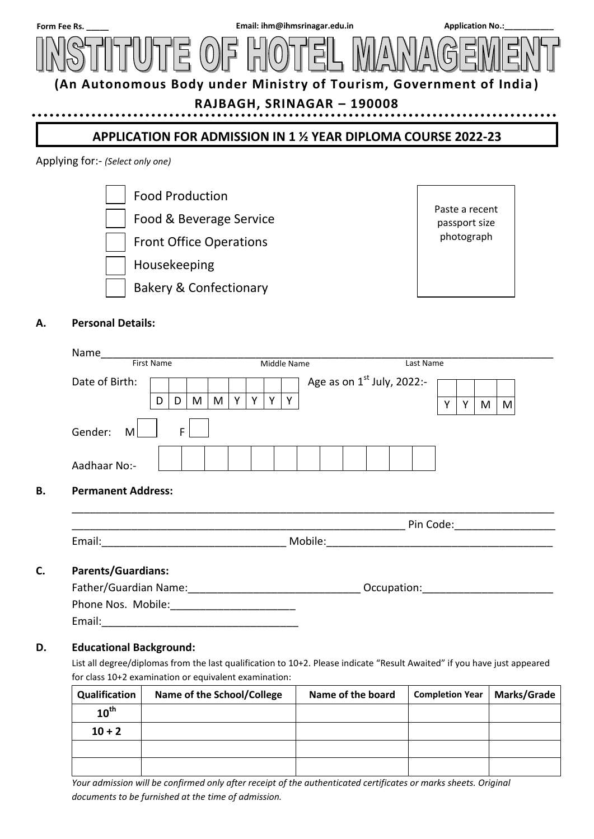

# **RAJBAGH, SRINAGAR – 190008**

# **APPLICATION FOR ADMISSION IN 1 ½ YEAR DIPLOMA COURSE 2022-23**

#### Applying for:- *(Select only one)*

......





# **A. Personal Details:**

| Name<br>First Name |   |   |   | Middle Name |   |  |  |   | Last Name                    |   |   |   |   |
|--------------------|---|---|---|-------------|---|--|--|---|------------------------------|---|---|---|---|
| Date of Birth:     |   |   |   |             |   |  |  |   | Age as on $1st$ July, 2022:- |   |   |   |   |
|                    | D | D | M | M           | v |  |  | ν |                              | v | γ | M | M |
| Gender:<br>M       |   | Е |   |             |   |  |  |   |                              |   |   |   |   |
|                    |   |   |   |             |   |  |  |   |                              |   |   |   |   |

### **B. Permanent Address:**

|        | Pin<br>Code: |  |
|--------|--------------|--|
| Email: | Mohile       |  |

\_\_\_\_\_\_\_\_\_\_\_\_\_\_\_\_\_\_\_\_\_\_\_\_\_\_\_\_\_\_\_\_\_\_\_\_\_\_\_\_\_\_\_\_\_\_\_\_\_\_\_\_\_\_\_\_\_\_\_\_\_\_\_\_\_\_\_\_\_\_\_\_\_\_\_\_\_\_\_\_\_

### **C. Parents/Guardians:**

| Father/Guardian Name: | Occupation: |  |
|-----------------------|-------------|--|
| Phone Nos. Mobile:    |             |  |
| Email:                |             |  |

### **D. Educational Background:**

List all degree/diplomas from the last qualification to 10+2. Please indicate "Result Awaited" if you have just appeared for class 10+2 examination or equivalent examination:

| Qualification    | Name of the School/College | Name of the board | <b>Completion Year</b> | <b>Marks/Grade</b> |
|------------------|----------------------------|-------------------|------------------------|--------------------|
| $10^{\text{th}}$ |                            |                   |                        |                    |
| $10 + 2$         |                            |                   |                        |                    |
|                  |                            |                   |                        |                    |
|                  |                            |                   |                        |                    |

*Your admission will be confirmed only after receipt of the authenticated certificates or marks sheets. Original documents to be furnished at the time of admission.*